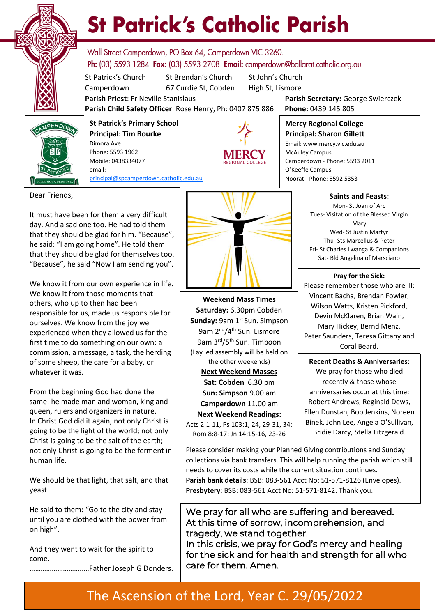

# **St Patrick's Catholic Parish**

Wall Street Camperdown, PO Box 64, Camperdown VIC 3260. **Ph:** (03) 5593 1284 **Fax:** (03) 5593 2708 **Email:** camperdown@ballarat.catholic.org.au

St Patrick's Church St Brendan's Church St John's Church Camperdown 67 Curdie St, Cobden High St, Lismore

**Parish Priest**: Fr Neville Stanislaus **Parish Secretary:** George Swierczek

**Parish Child Safety Officer**: Rose Henry, Ph: 0407 875 886 **Phone:** 0439 145 805



**St Patrick's Primary School Principal: Tim Bourke**  Dimora Ave Phone: 5593 1962 Mobile: 0438334077 email: [principal@spcamperdown.catholic.edu.au](mailto:principal@spcamperdown.catholic.edu.auu)



#### **Mercy Regional College Principal: Sharon Gillett**

Email: www.mercy.vic.edu.au McAuley Campus Camperdown - Phone: 5593 2011 O'Keeffe Campus Noorat - Phone: 5592 5353

Dear Friends,

It must have been for them a very difficult day. And a sad one too. He had told them that they should be glad for him. "Because", he said: "I am going home". He told them that they should be glad for themselves too. "Because", he said "Now I am sending you".

We know it from our own experience in life. We know it from those moments that others, who up to then had been responsible for us, made us responsible for ourselves. We know from the joy we experienced when they allowed us for the first time to do something on our own: a commission, a message, a task, the herding of some sheep, the care for a baby, or whatever it was.

From the beginning God had done the . going to be the light of the world; not only same: he made man and woman, king and queen, rulers and organizers in nature. In Christ God did it again, not only Christ is Christ is going to be the salt of the earth; not only Christ is going to be the ferment in human life.

We should be that light, that salt, and that yeast.

He said to them: "Go to the city and stay until you are clothed with the power from on high".

And they went to wait for the spirit to come.

………………………..…Father Joseph G Donders.



**Weekend Mass Times Saturday:** 6.30pm Cobden **Sunday: 9am 1st Sun. Simpson** 9am 2<sup>nd</sup>/4<sup>th</sup> Sun. Lismore 9am 3rd/5th Sun. Timboon (Lay led assembly will be held on the other weekends) **Next Weekend Masses Sat: Cobden** 6.30 pm **Sun: Simpson** 9.00 am **Camperdown** 11.00 am

**Next Weekend Readings:** Acts 2:1-11, Ps 103:1, 24, 29-31, 34; Rom 8:8-17; Jn 14:15-16, 23-26

# **Saints and Feasts:**

Mon- St Joan of Arc Tues- Visitation of the Blessed Virgin Mary Wed- St Justin Martyr Thu- Sts Marcellus & Peter Fri- St Charles Lwanga & Companions Sat- Bld Angelina of Marsciano

# **Pray for the Sick:**

Please remember those who are ill: Vincent Bacha, Brendan Fowler, Wilson Watts, Kristen Pickford, Devin McKlaren, Brian Wain, Mary Hickey, Bernd Menz, Peter Saunders, Teresa Gittany and Coral Beard.

 **Recent Deaths & Anniversaries:** We pray for those who died recently & those whose anniversaries occur at this time: Robert Andrews, Reginald Dews, Ellen Dunstan, Bob Jenkins, Noreen Binek, John Lee, Angela O'Sullivan, Bridie Darcy, Stella Fitzgerald.

Please consider making your Planned Giving contributions and Sunday collections via bank transfers. This will help running the parish which still needs to cover its costs while the current situation continues. **Parish bank details**: BSB: 083-561 Acct No: 51-571-8126 (Envelopes). **Presbytery**: BSB: 083-561 Acct No: 51-571-8142. Thank you.

We pray for all who are suffering and bereaved. At this time of sorrow, incomprehension, and tragedy, we stand together.

In this crisis, we pray for God's mercy and healing for the sick and for health and strength for all who care for them. Amen.

# The Ascension of the Lord, Year C. 29/05/2022  $\sim$  20.0, pm  $\sim$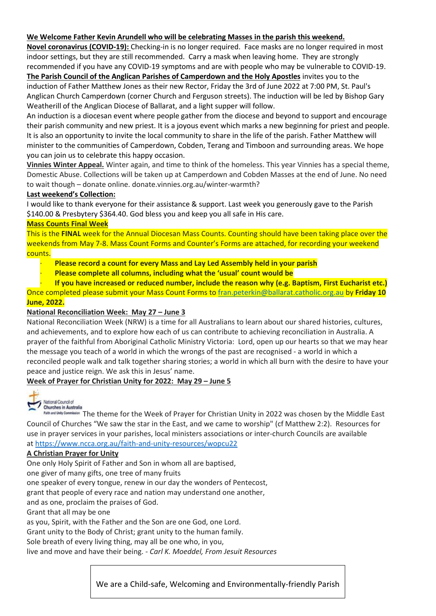# **We Welcome Father Kevin Arundell who will be celebrating Masses in the parish this weekend.**

**Novel coronavirus (COVID-19):** Checking-in is no longer required. Face masks are no longer required in most indoor settings, but they are still recommended. Carry a mask when leaving home. They are strongly recommended if you have any COVID-19 symptoms and are with people who may be vulnerable to COVID-19.

**The Parish Council of the Anglican Parishes of Camperdown and the Holy Apostles** invites you to the induction of Father Matthew Jones as their new Rector, Friday the 3rd of June 2022 at 7:00 PM, St. Paul's Anglican Church Camperdown (corner Church and Ferguson streets). The induction will be led by Bishop Gary Weatherill of the Anglican Diocese of Ballarat, and a light supper will follow.

An induction is a diocesan event where people gather from the diocese and beyond to support and encourage their parish community and new priest. It is a joyous event which marks a new beginning for priest and people. It is also an opportunity to invite the local community to share in the life of the parish. Father Matthew will minister to the communities of Camperdown, Cobden, Terang and Timboon and surrounding areas. We hope you can join us to celebrate this happy occasion.

**Vinnies Winter Appeal.** Winter again, and time to think of the homeless. This year Vinnies has a special theme, Domestic Abuse. Collections will be taken up at Camperdown and Cobden Masses at the end of June. No need to wait though – donate online. donate.vinnies.org.au/winter-warmth?

# **Last weekend's Collection:**

I would like to thank everyone for their assistance & support. Last week you generously gave to the Parish \$140.00 & Presbytery \$364.40. God bless you and keep you all safe in His care.

# **Mass Counts Final Week**

This is the **FINAL** week for the Annual Diocesan Mass Counts. Counting should have been taking place over the weekends from May 7-8. Mass Count Forms and Counter's Forms are attached, for recording your weekend counts.

- · **Please record a count for every Mass and Lay Led Assembly held in your parish**
- · **Please complete all columns, including what the 'usual' count would be**

· **If you have increased or reduced number, include the reason why (e.g. Baptism, First Eucharist etc.)** Once completed please submit your Mass Count Forms to [fran.peterkin@ballarat.catholic.org.au](mailto:fran.peterkin@ballarat.catholic.org.au) by **Friday 10 June, 2022.**

# **National Reconciliation Week: May 27 – June 3**

National Reconciliation Week (NRW) is a time for all Australians to learn about our shared histories, cultures, and achievements, and to explore how each of us can contribute to achieving reconciliation in Australia. A prayer of the faithful from Aboriginal Catholic Ministry Victoria: Lord, open up our hearts so that we may hear the message you teach of a world in which the wrongs of the past are recognised - a world in which a reconciled people walk and talk together sharing stories; a world in which all burn with the desire to have your peace and justice reign. We ask this in Jesus' name.

# **Week of Prayer for Christian Unity for 2022: May 29 – June 5**



Faith and Unity Commission The theme for the Week of Prayer for Christian Unity in 2022 was chosen by the Middle East Council of Churches "We saw the star in the East, and we came to worship" (cf Matthew 2:2). Resources for use in prayer services in your parishes, local ministers associations or inter-church Councils are available at <https://www.ncca.org.au/faith-and-unity-resources/wopcu22>

# **A Christian Prayer for Unity**

One only Holy Spirit of Father and Son in whom all are baptised,

one giver of many gifts, one tree of many fruits

one speaker of every tongue, renew in our day the wonders of Pentecost,

grant that people of every race and nation may understand one another,

and as one, proclaim the praises of God.

Grant that all may be one

as you, Spirit, with the Father and the Son are one God, one Lord.

Grant unity to the Body of Christ; grant unity to the human family.

Sole breath of every living thing, may all be one who, in you,

live and move and have their being. *- Carl K. Moeddel, From Jesuit Resources*

We are a Child-safe, Welcoming and Environmentally-friendly Parish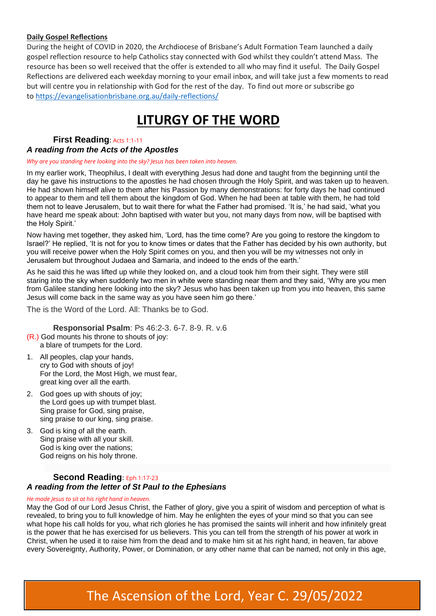#### **Daily Gospel Reflections**

During the height of COVID in 2020, the Archdiocese of Brisbane's Adult Formation Team launched a daily gospel reflection resource to help Catholics stay connected with God whilst they couldn't attend Mass. The resource has been so well received that the offer is extended to all who may find it useful. The Daily Gospel Reflections are delivered each weekday morning to your email inbox, and will take just a few moments to read but will centre you in relationship with God for the rest of the day. To find out more or subscribe go to <https://evangelisationbrisbane.org.au/daily-reflections/>

# **LITURGY OF THE WORD**

# **First Reading**: Acts 1:1-11

# *A reading from the Acts of the Apostles*

#### *Why are you standing here looking into the sky? Jesus has been taken into heaven.*

In my earlier work, Theophilus, I dealt with everything Jesus had done and taught from the beginning until the day he gave his instructions to the apostles he had chosen through the Holy Spirit, and was taken up to heaven. He had shown himself alive to them after his Passion by many demonstrations: for forty days he had continued to appear to them and tell them about the kingdom of God. When he had been at table with them, he had told them not to leave Jerusalem, but to wait there for what the Father had promised. 'It is,' he had said, 'what you have heard me speak about: John baptised with water but you, not many days from now, will be baptised with the Holy Spirit.'

Now having met together, they asked him, 'Lord, has the time come? Are you going to restore the kingdom to Israel?' He replied, 'It is not for you to know times or dates that the Father has decided by his own authority, but you will receive power when the Holy Spirit comes on you, and then you will be my witnesses not only in Jerusalem but throughout Judaea and Samaria, and indeed to the ends of the earth.'

As he said this he was lifted up while they looked on, and a cloud took him from their sight. They were still staring into the sky when suddenly two men in white were standing near them and they said, 'Why are you men from Galilee standing here looking into the sky? Jesus who has been taken up from you into heaven, this same Jesus will come back in the same way as you have seen him go there.'

The is the Word of the Lord. All: Thanks be to God.

**Responsorial Psalm**: Ps 46:2-3. 6-7. 8-9. R. v.6

- (R.) God mounts his throne to shouts of joy: a blare of trumpets for the Lord.
- 1. All peoples, clap your hands, cry to God with shouts of joy! For the Lord, the Most High, we must fear, great king over all the earth.
- 2. God goes up with shouts of joy; the Lord goes up with trumpet blast. Sing praise for God, sing praise, sing praise to our king, sing praise.
- 3. God is king of all the earth. Sing praise with all your skill. God is king over the nations; God reigns on his holy throne.

# **Second Reading**: Eph 1:17-23 *A reading from the letter of St Paul to the Ephesians*

#### *He made Jesus to sit at his right hand in heaven.*

May the God of our Lord Jesus Christ, the Father of glory, give you a spirit of wisdom and perception of what is revealed, to bring you to full knowledge of him. May he enlighten the eyes of your mind so that you can see what hope his call holds for you, what rich glories he has promised the saints will inherit and how infinitely great is the power that he has exercised for us believers. This you can tell from the strength of his power at work in Christ, when he used it to raise him from the dead and to make him sit at his right hand, in heaven, far above every Sovereignty, Authority, Power, or Domination, or any other name that can be named, not only in this age,

# The Ascension of the Lord, Year C. 29/05/2022